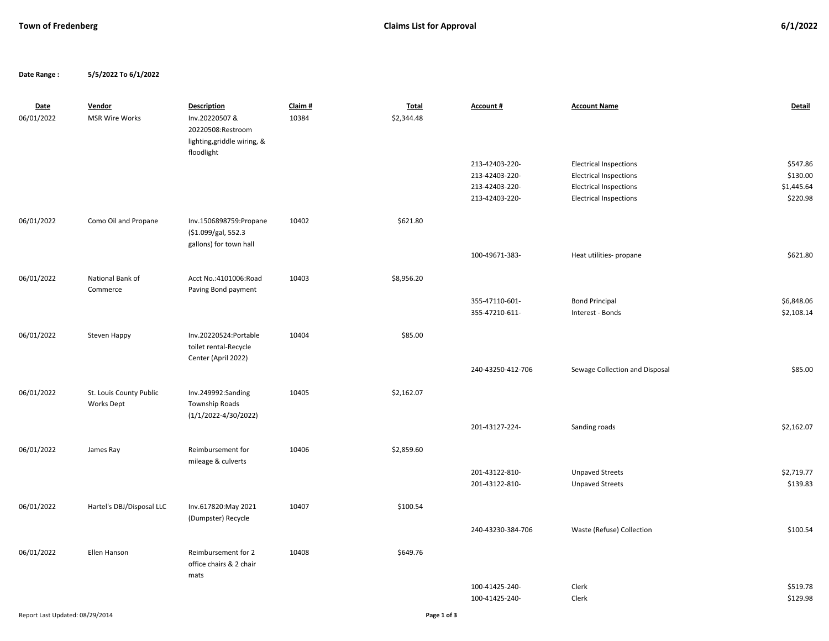**Date Range : 5/5/2022 To 6/1/2022**

| <b>Date</b><br>06/01/2022 | Vendor<br><b>MSR Wire Works</b>              | <b>Description</b><br>Inv.20220507 &<br>20220508:Restroom<br>lighting, griddle wiring, &<br>floodlight | Claim #<br>10384 | <b>Total</b><br>\$2,344.48 | Account #         | <b>Account Name</b>            | Detail     |
|---------------------------|----------------------------------------------|--------------------------------------------------------------------------------------------------------|------------------|----------------------------|-------------------|--------------------------------|------------|
|                           |                                              |                                                                                                        |                  |                            | 213-42403-220-    | <b>Electrical Inspections</b>  | \$547.86   |
|                           |                                              |                                                                                                        |                  |                            | 213-42403-220-    | <b>Electrical Inspections</b>  | \$130.00   |
|                           |                                              |                                                                                                        |                  |                            | 213-42403-220-    | <b>Electrical Inspections</b>  | \$1,445.64 |
|                           |                                              |                                                                                                        |                  |                            | 213-42403-220-    | <b>Electrical Inspections</b>  | \$220.98   |
| 06/01/2022                | Como Oil and Propane                         | Inv.1506898759:Propane<br>(\$1.099/gal, 552.3<br>gallons) for town hall                                | 10402            | \$621.80                   |                   |                                |            |
|                           |                                              |                                                                                                        |                  |                            | 100-49671-383-    | Heat utilities- propane        | \$621.80   |
| 06/01/2022                | National Bank of<br>Commerce                 | Acct No.:4101006:Road<br>Paving Bond payment                                                           | 10403            | \$8,956.20                 |                   |                                |            |
|                           |                                              |                                                                                                        |                  |                            | 355-47110-601-    | <b>Bond Principal</b>          | \$6,848.06 |
|                           |                                              |                                                                                                        |                  |                            | 355-47210-611-    | Interest - Bonds               | \$2,108.14 |
| 06/01/2022                | Steven Happy                                 | Inv.20220524:Portable<br>toilet rental-Recycle<br>Center (April 2022)                                  | 10404            | \$85.00                    |                   |                                |            |
|                           |                                              |                                                                                                        |                  |                            | 240-43250-412-706 | Sewage Collection and Disposal | \$85.00    |
| 06/01/2022                | St. Louis County Public<br><b>Works Dept</b> | Inv.249992:Sanding<br>Township Roads<br>$(1/1/2022 - 4/30/2022)$                                       | 10405            | \$2,162.07                 |                   |                                |            |
|                           |                                              |                                                                                                        |                  |                            | 201-43127-224-    | Sanding roads                  | \$2,162.07 |
| 06/01/2022                | James Ray                                    | Reimbursement for<br>mileage & culverts                                                                | 10406            | \$2,859.60                 |                   |                                |            |
|                           |                                              |                                                                                                        |                  |                            | 201-43122-810-    | <b>Unpaved Streets</b>         | \$2,719.77 |
|                           |                                              |                                                                                                        |                  |                            | 201-43122-810-    | <b>Unpaved Streets</b>         | \$139.83   |
| 06/01/2022                | Hartel's DBJ/Disposal LLC                    | Inv.617820:May 2021<br>(Dumpster) Recycle                                                              | 10407            | \$100.54                   |                   |                                |            |
|                           |                                              |                                                                                                        |                  |                            | 240-43230-384-706 | Waste (Refuse) Collection      | \$100.54   |
| 06/01/2022                | Ellen Hanson                                 | Reimbursement for 2<br>office chairs & 2 chair<br>mats                                                 | 10408            | \$649.76                   |                   |                                |            |
|                           |                                              |                                                                                                        |                  |                            | 100-41425-240-    | Clerk                          | \$519.78   |
|                           |                                              |                                                                                                        |                  |                            | 100-41425-240-    | Clerk                          | \$129.98   |
|                           |                                              |                                                                                                        |                  |                            |                   |                                |            |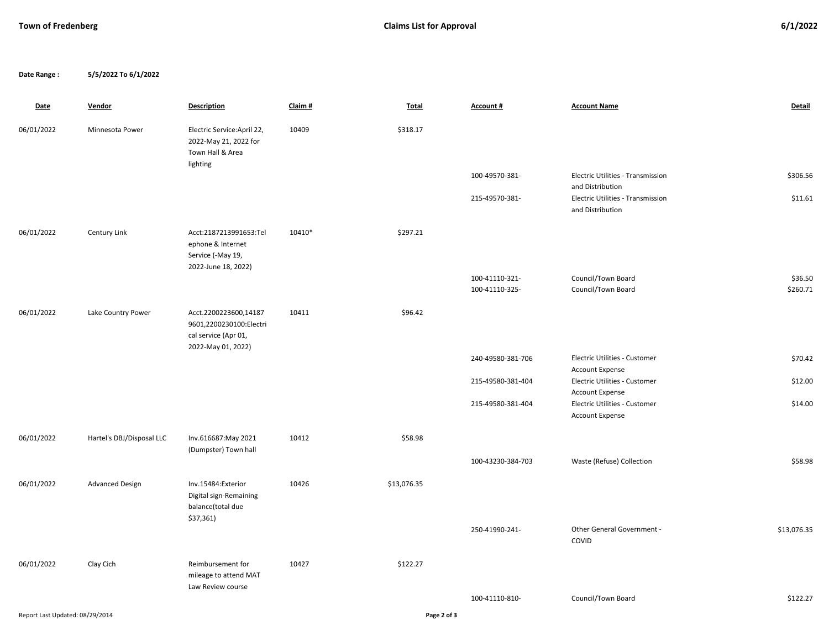**Date Range : 5/5/2022 To 6/1/2022**

| <b>Date</b>                     | Vendor                    | <b>Description</b>                                                                      | Claim# | Total       | Account #                        | <b>Account Name</b>                                                               | Detail              |
|---------------------------------|---------------------------|-----------------------------------------------------------------------------------------|--------|-------------|----------------------------------|-----------------------------------------------------------------------------------|---------------------|
| 06/01/2022                      | Minnesota Power           | Electric Service: April 22,<br>2022-May 21, 2022 for<br>Town Hall & Area<br>lighting    | 10409  | \$318.17    |                                  |                                                                                   |                     |
|                                 |                           |                                                                                         |        |             | 100-49570-381-                   | Electric Utilities - Transmission                                                 | \$306.56            |
|                                 |                           |                                                                                         |        |             | 215-49570-381-                   | and Distribution<br>Electric Utilities - Transmission<br>and Distribution         | \$11.61             |
| 06/01/2022                      | Century Link              | Acct:2187213991653:Tel<br>ephone & Internet<br>Service (-May 19,<br>2022-June 18, 2022) | 10410* | \$297.21    |                                  |                                                                                   |                     |
|                                 |                           |                                                                                         |        |             | 100-41110-321-<br>100-41110-325- | Council/Town Board<br>Council/Town Board                                          | \$36.50<br>\$260.71 |
| 06/01/2022                      | Lake Country Power        | Acct.2200223600,14187<br>9601,2200230100:Electri<br>cal service (Apr 01,                | 10411  | \$96.42     |                                  |                                                                                   |                     |
|                                 |                           | 2022-May 01, 2022)                                                                      |        |             | 240-49580-381-706                | Electric Utilities - Customer                                                     | \$70.42             |
|                                 |                           |                                                                                         |        |             | 215-49580-381-404                | <b>Account Expense</b><br>Electric Utilities - Customer                           | \$12.00             |
|                                 |                           |                                                                                         |        |             | 215-49580-381-404                | <b>Account Expense</b><br>Electric Utilities - Customer<br><b>Account Expense</b> | \$14.00             |
| 06/01/2022                      | Hartel's DBJ/Disposal LLC | Inv.616687:May 2021                                                                     | 10412  | \$58.98     |                                  |                                                                                   |                     |
|                                 |                           | (Dumpster) Town hall                                                                    |        |             | 100-43230-384-703                | Waste (Refuse) Collection                                                         | \$58.98             |
| 06/01/2022                      | <b>Advanced Design</b>    | Inv.15484:Exterior<br>Digital sign-Remaining<br>balance(total due<br>\$37,361)          | 10426  | \$13,076.35 |                                  |                                                                                   |                     |
|                                 |                           |                                                                                         |        |             | 250-41990-241-                   | Other General Government -<br>COVID                                               | \$13,076.35         |
| 06/01/2022                      | Clay Cich                 | Reimbursement for<br>mileage to attend MAT<br>Law Review course                         | 10427  | \$122.27    |                                  |                                                                                   |                     |
|                                 |                           |                                                                                         |        |             | 100-41110-810-                   | Council/Town Board                                                                | \$122.27            |
| Report Last Updated: 08/29/2014 |                           |                                                                                         |        | Page 2 of 3 |                                  |                                                                                   |                     |